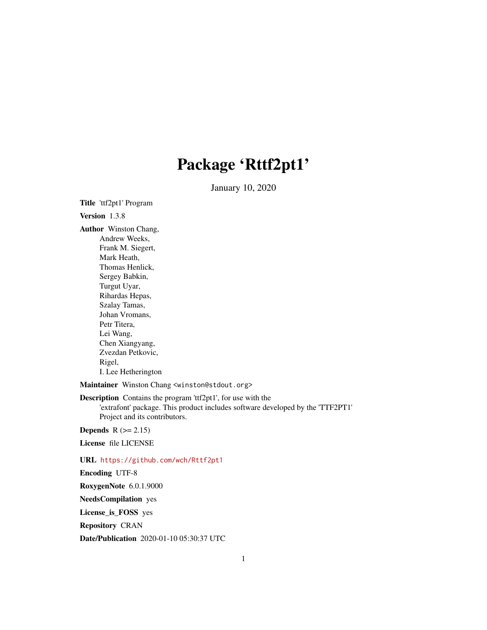## Package 'Rttf2pt1'

January 10, 2020

Title 'ttf2pt1' Program

Version 1.3.8

Author Winston Chang, Andrew Weeks, Frank M. Siegert, Mark Heath, Thomas Henlick, Sergey Babkin, Turgut Uyar, Rihardas Hepas, Szalay Tamas, Johan Vromans, Petr Titera, Lei Wang, Chen Xiangyang, Zvezdan Petkovic, Rigel, I. Lee Hetherington

Maintainer Winston Chang <winston@stdout.org>

Description Contains the program 'ttf2pt1', for use with the 'extrafont' package. This product includes software developed by the 'TTF2PT1' Project and its contributors.

Depends  $R (= 2.15)$ 

License file LICENSE

#### URL <https://github.com/wch/Rttf2pt1>

Encoding UTF-8

RoxygenNote 6.0.1.9000

NeedsCompilation yes

License\_is\_FOSS yes

Repository CRAN

Date/Publication 2020-01-10 05:30:37 UTC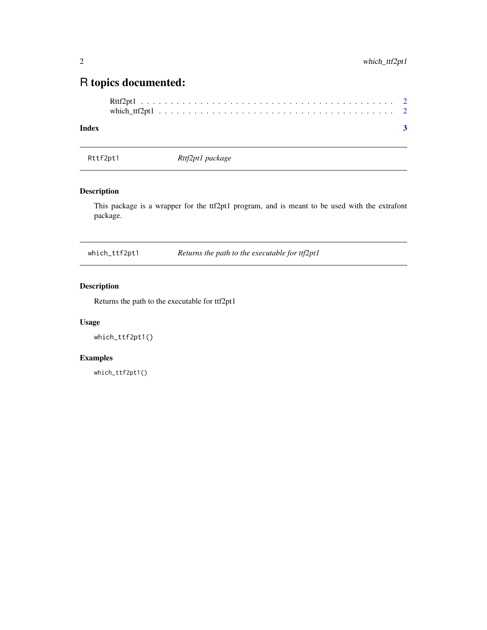### <span id="page-1-0"></span>R topics documented:

#### **Index** [3](#page-2-0)

Rttf2pt1 *Rttf2pt1 package*

#### Description

This package is a wrapper for the ttf2pt1 program, and is meant to be used with the extrafont package.

which\_ttf2pt1 *Returns the path to the executable for ttf2pt1*

#### Description

Returns the path to the executable for ttf2pt1

#### Usage

which\_ttf2pt1()

#### Examples

which\_ttf2pt1()